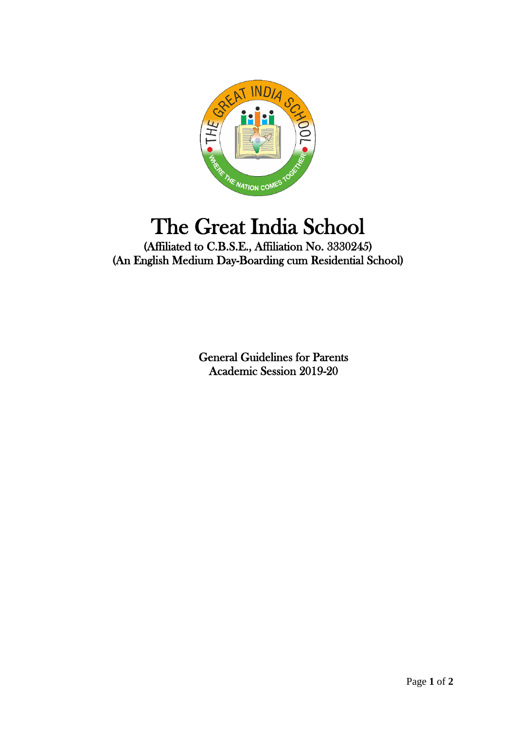

## The Great India School

(Affiliated to C.B.S.E., Affiliation No. 3330245) (An English Medium Day-Boarding cum Residential School)

> General Guidelines for Parents Academic Session 2019-20